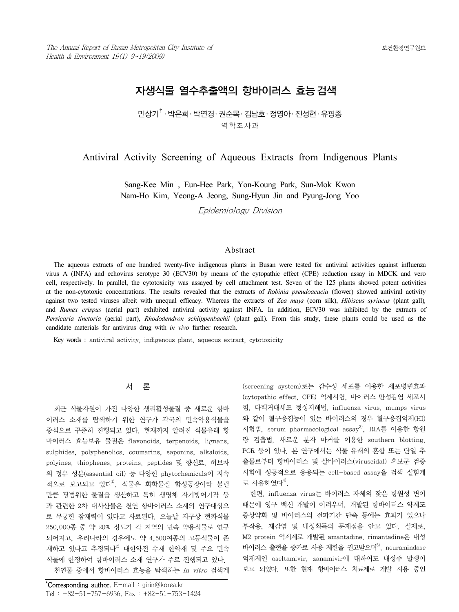# 자생식물 열수추출액의 항바이러스 효능검색

미상기 $^{\dagger}$  · 박은희 · 박연경 · 권수목 · 김남호 · 정영아 · 진성현 · 유평종 역학조사과

# Antiviral Activity Screening of Aqueous Extracts from Indigenous Plants

Sang-Kee Min†, Eun-Hee Park, Yon-Koung Park, Sun-Mok Kwon Nam-Ho Kim, Yeong-A Jeong, Sung-Hyun Jin and Pyung-Jong Yoo

Epidemiology Division

#### Abstract

The aqueous extracts of one hundred twenty-five indigenous plants in Busan were tested for antiviral activities against influenza virus A (INFA) and echovirus serotype 30 (ECV30) by means of the cytopathic effect (CPE) reduction assay in MDCK and vero cell, respectively. In parallel, the cytotoxicity was assayed by cell attachment test. Seven of the 125 plants showed potent activities at the non-cytotoxic concentrations. The results revealed that the extracts of *Robinia pseudoacacia* (flower) showed antiviral activity against two tested viruses albeit with unequal efficacy. Whereas the extracts of *Zea mays* (corn silk), *Hibiscus syriacus* (plant gall)*,* and *Rumex crispus* (aerial part) exhibited antiviral activity against INFA. In addition, ECV30 was inhibited by the extracts of *Persicaria tinctoria* (aerial part), *Rhododendron schlippenbachii* (plant gall). From this study, these plants could be used as the candidate materials for antivirus drug with *in vivo* further research.

Key words : antiviral activity, indigenous plant, aqueous extract, cytotoxicity

# 서 론

최근 식물자원이 가진 다양한 생리활성물질 중 새로운 항바 이러스 소재를 탐색하기 위한 연구가 각국의 민속약용식물을 중심으로 꾸준히 진행되고 있다. 현재까지 알려진 식물유래 항 바이러스 효능보유 물질은 flavonoids, terpenoids, lignans, sulphides, polyphenolics, coumarins, saponins, alkaloids, polyines, thiophenes, proteins, peptides 및 향신료, 허브차 의 정유 성분(essential oil) 등 다양한 phytochemicals이 지속 적으로 보고되고 있다<sup>1)</sup>. 식물은 화학물질 합성공장이라 불릴 만큼 광범위한 물질을 생산하고 특히 생명체 자기방어기작 등 과 관련한 2차 대사산물은 천연 항바이러스 소재의 연구대상으 로 무궁한 잠재력이 있다고 사료된다. 오늘날 지구상 현화식물 250,000종 중 약 20% 정도가 각 지역의 민속 약용식물로 연구 되어지고, 우리나라의 경우에도 약 4,500여종의 고등식물이 존 재하고 있다고 추정되나<sup>2)</sup> 대한약전 수재 한약재 및 주요 민속 식물에 한정하여 항바이러스 소재 연구가 주로 진행되고 있다. 천연물 중에서 항바이러스 효능을 탐색하는 in vitro 검색계 (screening system)로는 감수성 세포를 이용한 세포병변효과 (cytopathic effect, CPE) 억제시험, 바이러스 만성감염 세포시 험, 다핵거대세포 형성저해법, influenza virus, mumps virus 와 같이 혈구응집능이 있는 바이러스의 경우 혈구응집억제(HI) 시험법, serum pharmacological assay3), RIA를 이용한 항원 량 검출법, 새로운 분자 마커를 이용한 southern blotting, PCR 등이 있다. 본 연구에서는 식물 유래의 혼합 또는 단일 추 출물로부터 항바이러스 및 살바이러스(viruscidal) 후보군 검증 시험에 성공적으로 응용되는 cell-based assay을 검색 실험계 로 사용하였다 $4^9$ .

한편, influenza virus는 바이러스 자체의 잦은 항원성 변이 때문에 영구 백신 개발이 어려우며, 개발된 항바이러스 약제도 증상약화 및 바이러스의 전파기간 단축 등에는 효과가 있으나 부작용, 재감염 및 내성획득의 문제점을 안고 있다. 실제로, M2 protein 억제제로 개발된 amantadine, rimantadine은 내성 바이러스 출현율 증가로 사용 제한을 권고받으며 $^{5)}$ . neuramindase 억제제인 oseltamivir, zanamivir에 대하여도 내성주 발생이 보고 되었다. 또한 현재 항바이러스 치료제로 개발 사용 중인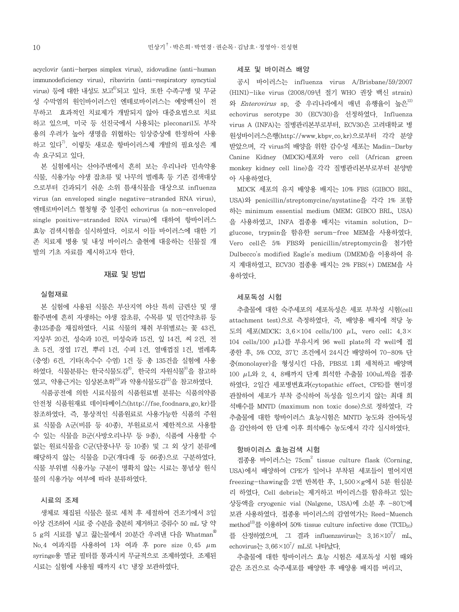acyclovir (anti-herpes simplex virus), zidovudine (anti-human immunodeficiency virus), ribavirin (anti-respiratory syncytial virus) 등에 대한 내성도 보고 $^{6}$ 되고 있다. 또한 수족구병 및 무균 성 수막염의 원인바이러스인 엔테로바이러스는 예방백신이 전 무하고 효과적인 치료제가 개발되지 않아 대증요법으로 치료 하고 있으며, 미국 등 선진국에서 사용되는 pleconaril도 부작 용의 우려가 높아 생명을 위협하는 임상증상에 한정하여 사용 하고 있다<sup>7)</sup> 이렇듯 새로운 항바이러스제 개발의 필요성은 계 속 요구되고 있다.

본 실험에서는 산야주변에서 흔히 보는 우리나라 민속약용 식물, 식용가능 야생 잡초류 및 나무의 벌레혹 등 기존 검색대상 으로부터 간과되기 쉬운 소위 틈새식물을 대상으로 influenza virus (an enveloped single negative-stranded RNA virus), 엔테로바이러스 혈청형 중 일종인 echovirus (a non-enveloped single positive-stranded RNA virus)에 대하여 항바이러스 효능 검색시험을 실시하였다. 이로서 이들 바이러스에 대한 기 존 치료제 병용 및 내성 바이러스 출현에 대응하는 신물질 개 발의 기초 자료를 제시하고자 한다.

#### 재료 및 방법

#### 실험재료

본 실험에 사용된 식물은 부산지역 야산 특히 금련산 및 생 활주변에 흔히 자생하는 야생 잡초류, 수목류 및 민간약초류 등 총125종을 채집하였다. 시료 식물의 채취 부위별로는 꽃 43건, 지상부 20건, 성숙과 10건, 미성숙과 15건, 잎 14건, 씨 2건, 전 초 5건, 경엽 17건, 뿌리 1건, 수피 1건, 열매껍질 1건, 벌레혹 (충영) 6건, 기타(옥수수 수염) 1건 등 총 135건을 실험에 사용 하였다. 식물분류는 한국식물도감<sup>8)</sup>, 한국의 자원식물<sup>9)</sup>을 참고하 였고, 약용근거는 임상본초학 $^{10)}$ 과 약용식물도감 $^{11)}$ 을 참고하였다.

식품공전에 의한 시료식물의 식품원료별 분류는 식품의약품 안전청 식품원재료 데이타베이스(http://fse.foodnara.go.kr)를 참조하였다. 즉, 통상적인 식품원료로 사용가능한 식품의 주원 료 식물을 A군(비름 등 40종), 부원료로서 제한적으로 사용할 수 있는 식물을 B군(사방오리나무 등 9종), 식품에 사용할 수 없는 원료식물을 C군(단풍나무 등 10종) 및 그 외 상기 분류에 해당하지 않는 식물을 D군(개다래 등 66종)으로 구분하였다. 식물 부위별 식용가능 구분이 명확치 않는 시료는 통념상 원식 물의 식용가능 여부에 따라 분류하였다.

### 시료의 조제

생체로 채집된 식물은 물로 세척 후 세절하여 건조기에서 3일 이상 건조하여 시료 중 수분을 충분히 제거하고 증류수 50 mL 당 약 5 g의 시료를 넣고 끓는물에서 20분간 우려낸 다음 Whatman®  $N<sub>0.4</sub>$  여과지를 사용하여 1차 여과 후 pore size  $0.45 \mu m$ syringe용 멸균 필터를 통과시켜 무균적으로 조제하였다. 조제된 시료는 실험에 사용될 때까지 4℃ 냉장 보관하였다.

#### 세포 및 바이러스 배양

공시 바이러스는 influenza virus A/Brisbane/59/2007 (H1N1)-like virus (2008/09년 절기 WHO 권장 백신 strain) 와 Enterovirus sp. 중 우리나라에서 매년 유행율이 높은 $^{12)}$ echovirus serotype 30 (ECV30)을 선정하였다. Influenza virus A (INFA)는 질병관리본부로부터, ECV30은 고려대학교 병 원성바이러스은행(http://www.kbpv.co.kr)으로부터 각각 분양 받았으며, 각 virus의 배양을 위한 감수성 세포는 Madin-Darby Canine Kidney (MDCK)세포와 vero cell (African green monkey kidney cell line)을 각각 질병관리본부로부터 분양받 아 사용하였다.

MDCK 세포의 유지 배양용 배지는 10% FBS (GIBCO BRL, USA)와 penicillin/streptomycine/nystatine을 각각 1% 포함 하는 minimum essential medium (MEM; GIBCO BRL, USA) 을 사용하였고, INFA 접종용 배지는 vitamin solution, Dglucose, trypsin을 함유한 serum-free MEM을 사용하였다. Vero cell은 5% FBS와 penicillin/streptomycin을 첨가한 Dulbecco's modified Eagle's medium (DMEM)을 이용하여 유 지 계대하였고, ECV30 접종용 배지는 2% FBS(+) DMEM을 사 용하였다.

#### 세포독성 시험

추출물에 대한 숙주세포의 세포독성은 세포 부착성 시험(cell attachment test)으로 측정하였다. 즉, 배양용 배지에 적당 농 도의 세포(MDCK;  $3.6 \times 104$  cells/100  $\mu$ L, vero cell;  $4.3 \times$ 104 cells/100  $\mu$ L)를 부유시켜 96 well plate의 각 well에 접 종한 후, 5% CO2, 37℃ 조건에서 24시간 배양하여 70-80% 단 층(monolayer)을 형성시킨 다음, PBS로 1회 세척하고 배양액 100 L와 2, 4, 8배까지 단계 희석한 추출물 100uL씩을 접종 하였다. 2일간 세포병변효과(cytopathic effect, CPE)를 현미경 관찰하여 세포가 부착 증식하여 독성을 일으키지 않는 최대 희 석배수를 MNTD (maximum non toxic dose)으로 정하였다. 각 추출물에 대한 항바이러스 효능시험은 MNTD 농도와 잔여독성 을 감안하여 한 단계 이후 희석배수 농도에서 각각 실시하였다.

#### 항바이러스 효능검색 시험

접종용 바이러스는 75cm2 tissue culture flask (Corning, USA)에서 배양하여 CPE가 일어나 부착된 세포들이 떨어지면 freezing-thawing을 2번 반복한 후, 1,500×g에서 5분 원심분 리 하였다. Cell debris는 제거하고 바이러스를 함유하고 있는 상등액을 cryogenic vial (Nalgene, USA)에 소분 후 -80℃에 보관 사용하였다. 접종용 바이러스의 감염역가는 Reed-Muench method<sup>13)</sup>를 이용하여 50% tissue culture infective dose (TCID<sub>50</sub>) 를 산정하였으며, 그 결과 influenzavirus는  $3.16 \times 10^2$ / mL, echovirus는  $3.66\times10^7$ / mL로 나타났다.

추출물에 대한 항바이러스 효능 시험은 세포독성 시험 때와 같은 조건으로 숙주세포를 배양한 후 배양용 배지를 버리고,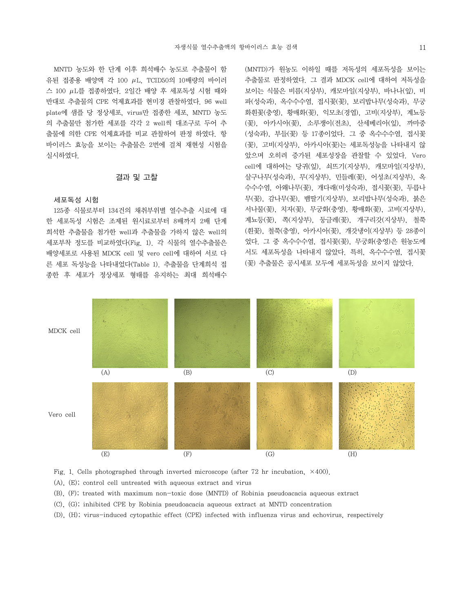MNTD 농도와 한 단계 이후 희석배수 농도로 추출물이 함 유된 접종용 배양액 각 100  $\mu$ L, TCID50의 10배량의 바이러  $\triangle$  100  $\mu$ L를 접종하였다. 2일간 배양 후 세포독성 시험 때와 반대로 추출물의 CPE 억제효과를 현미경 관찰하였다. 96 well plate에 샘플 당 정상세포, virus만 접종한 세포, MNTD 농도 의 추출물만 첨가한 세포를 각각 2 well씩 대조구로 두어 추 출물에 의한 CPE 억제효과를 비교 관찰하여 판정 하였다. 항 바이러스 효능을 보이는 추출물은 2번에 걸쳐 재현성 시험을 실시하였다.

#### 결과 및 고찰

#### 세포독성 시험

125종 식물로부터 134건의 채취부위별 열수추출 시료에 대 한 세포독성 시험은 조제된 원시료로부터 8배까지 2배 단계 희석한 추출물을 첨가한 well과 추출물을 가하지 않은 well의 세포부착 정도를 비교하였다(Fig. 1). 각 식물의 열수추출물은 배양세포로 사용된 MDCK cell 및 vero cell에 대하여 서로 다 른 세포 독성능을 나타내었다(Table 1). 추출물을 단계희석 접 종한 후 세포가 정상세포 형태를 유지하는 최대 희석배수

```
(MNTD)가 원농도 이하일 때를 저독성의 세포독성을 보이는 
추출물로 판정하였다. 그 결과 MDCK cell에 대하여 저독성을 
보이는 식물은 비름(지상부), 캐모마일(지상부), 바나나(잎), 비
파(성숙과), 옥수수수염, 접시꽃(꽃), 보리밥나무(성숙과), 무궁
화흰꽃(충영), 황매화(꽃), 익모초(경엽), 고비(지상부), 계뇨등
(꽃), 아카시아(꽃), 소루쟁이(전초), 산세베리아(잎), 까마중
(성숙과), 부들(꽃) 등 17종이었다. 그 중 옥수수수염, 접시꽃
(꽃), 고비(지상부), 아카시아(꽃)는 세포독성능을 나타내지 않
았으며 오히려 증가된 세포성장을 관찰할 수 있었다. Vero 
cell에 대하여는 당귀(잎), 쇠뜨기(지상부), 캐모마일(지상부), 
살구나무(성숙과), 무(지상부), 민들레(꽃), 어성초(지상부), 옥
수수수염, 아왜나무(꽃), 개다래(미성숙과), 접시꽃(꽃), 두릅나
무(꽃), 감나무(꽃), 뱀딸기(지상부), 보리밥나무(성숙과), 붉은
서나물(꽃), 치자(꽃), 무궁화(충영), 황매화(꽃), 고비(지상부), 
계뇨등(꽃), 쪽(지상부), 둥글레(꽃), 개구리갓(지상부), 철쭉
(흰꽃), 철쭉(충영), 아카시아(꽃), 개갓냉이(지상부) 등 28종이
었다. 그 중 옥수수수염, 접시꽃(꽃), 무궁화(충영)은 원농도에
서도 세포독성을 나타내지 않았다. 특히, 옥수수수염, 접시꽃
(꽃) 추출물은 공시세포 모두에 세포독성을 보이지 않았다.
```


Fig. 1. Cells photographed through inverted microscope (after 72 hr incubation,  $\times$ 400).

(A), (E); control cell untreated with aqueous extract and virus

(B), (F); treated with maximum non-toxic dose (MNTD) of Robinia pseudoacacia aqueous extract

- (C), (G); inhibited CPE by Robinia pseudoacacia aqueous extract at MNTD concentration
- (D), (H); virus-induced cytopathic effect (CPE) infected with influenza virus and echovirus, respectively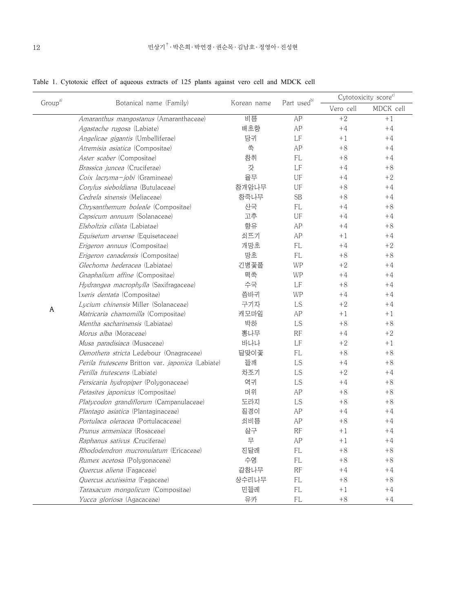|  | Table 1. Cytotoxic effect of aqueous extracts of 125 plants against vero cell and MDCK cell |  |  |  |  |  |  |  |  |  |  |  |  |  |
|--|---------------------------------------------------------------------------------------------|--|--|--|--|--|--|--|--|--|--|--|--|--|
|--|---------------------------------------------------------------------------------------------|--|--|--|--|--|--|--|--|--|--|--|--|--|

| Group <sup>a)</sup> |                                                          |             |                         | Cytotoxicity score <sup>c)</sup> |           |  |
|---------------------|----------------------------------------------------------|-------------|-------------------------|----------------------------------|-----------|--|
|                     | Botanical name (Family)                                  | Korean name | Part used <sup>b)</sup> | Vero cell                        | MDCK cell |  |
|                     | Amaranthus mangostanus (Amaranthaceae)                   | 비름          | AP                      | $+2$                             | $+1$      |  |
|                     | Agastache rugosa (Labiate)                               | 배초향         | AP                      | $+4$                             | $+4$      |  |
|                     | Angelicae gigantis (Umbelliferae)                        | 당귀          | LF                      | $+1$                             | $+4$      |  |
|                     | Atremisia asiatica (Compositae)                          | 쑥           | AP                      | $+8$                             | $+4$      |  |
|                     | Aster scaber (Compositae)                                | 참취          | FL                      | $+8$                             | $+4$      |  |
|                     | <i>Brassica juncea</i> (Cruciferae)                      | 갓           | LF                      | $+4$                             | $+8$      |  |
|                     | <i>Coix lacryma-jobi</i> (Gramineae)                     | 율무          | UF                      | $+4$                             | $+2$      |  |
|                     | Corylus sieboldiana (Butulaceae)                         | 참개암나무       | UF                      | $+8$                             | $+4$      |  |
|                     | Cedrela sinensis (Meliaceae)                             | 참죽나무        | <b>SB</b>               | $+8$                             | $+4$      |  |
|                     | Chrysanthemum boleale (Compositae)                       | 산국          | <b>FL</b>               | $+4$                             | $+8$      |  |
|                     | Capsicum annuum (Solanaceae)                             | 고추          | UF                      | $+4$                             | $+4$      |  |
|                     | Elsholtzia ciliata (Labiatae)                            | 향유          | AP                      | $+4$                             | $+8$      |  |
|                     | Equisetum arvense (Equisetaceae)                         | 쇠뜨기         | AP                      | $+1$                             | $+4$      |  |
|                     | Erigeron annuus (Compositae)                             | 개망초         | <b>FL</b>               | $+4$                             | $+2$      |  |
|                     | <i>Erigeron canadensis</i> (Compositae)                  | 망초          | <b>FL</b>               | $+8$                             | $+8$      |  |
|                     | Glechoma hederacea (Labiatae)                            | 긴병꽃풀        | WP                      | $+2$                             | $+4$      |  |
|                     | Gnaphalium affine (Compositae)                           | 떡쑥          | WP                      | $+4$                             | $+4$      |  |
|                     | Hydrangea macrophylla (Saxifragaceae)                    | 수국          | LF                      | $+8$                             | $+4$      |  |
|                     | Ixeris dentata (Compositae)                              | 씀바귀         | WP                      | $+4$                             | $+4$      |  |
|                     | Lycium chinensis Miller (Solanaceae)                     | 구기자         | LS                      | $+2$                             | $+4$      |  |
| Α                   | Matricaria chamomilla (Compositae)                       | 캐모마일        | AP                      | $+1$                             | $+1$      |  |
|                     | Mentha sacharinensis (Labiatae)                          | 박하          | LS                      | $+8$                             | $+8$      |  |
|                     | Morus alba (Moraceae)                                    | 뽕나무         | RF                      | $+4$                             | $+2$      |  |
|                     | Musa paradisiaca (Musaceae)                              | 바나나         | LF                      | $+2$                             | $+1$      |  |
|                     | Oenothera stricta Ledebour (Onagraceae)                  | 달맞이꽃        | <b>FL</b>               | $+8$                             | $+8$      |  |
|                     | Perila frutescens Britton var. <i>japonica</i> (Labiate) | 들깨          | LS                      | $+4$                             | $+8$      |  |
|                     | Perilla frutescens (Labiate)                             | 차조기         | LS                      | $+2$                             | $+4$      |  |
|                     | Persicaria hydropiper (Polygonaceae)                     | 역귀          | LS                      | $+4$                             | $+8$      |  |
|                     | Petasites japonicus (Compositae)                         | 머위          | AP                      | $+8$                             | $+8$      |  |
|                     | Platycodon grandiflorum (Campanulaceae)                  | 도라지         | LS                      | $+8$                             | $+8$      |  |
|                     | Plantago asiatica (Plantaginaceae)                       | 질경이         | AP                      | $+4$                             | $+4$      |  |
|                     | Portulaca oleracea (Portulacaceae)                       | 쇠비름         | AP                      | $+8$                             | $+4$      |  |
|                     | Prunus armeniaca (Rosaceae)                              | 살구          | RF                      | $+1$                             | $+4$      |  |
|                     | <i>Raphanus sativus (Cruciferae)</i>                     | 무           | AP                      | $+1$                             | $+4$      |  |
|                     | <i>Rhododendron mucronulatum</i> (Ericaceae)             | 진달래         | FL                      | $+8$                             | $+8$      |  |
|                     | Rumex acetosa (Polygonaceae)                             | 수영          | $\mathsf{FL}$           | $+8$                             | $+8$      |  |
|                     | Quercus aliena (Fagaceae)                                | 갈참나무        | RF                      | $+4$                             | $+4$      |  |
|                     | Quercus acutissima (Fagaceae)                            | 상수리나무       | FL                      | $+8$                             | $+8$      |  |
|                     | Taraxacum mongolicum (Compositae)                        | 민들레         | $\mathsf{FL}$           | $+1$                             | $+4$      |  |
|                     | Yucca gloriosa (Agacaceae)                               | 유카          | FL                      | $+8$                             | $+4$      |  |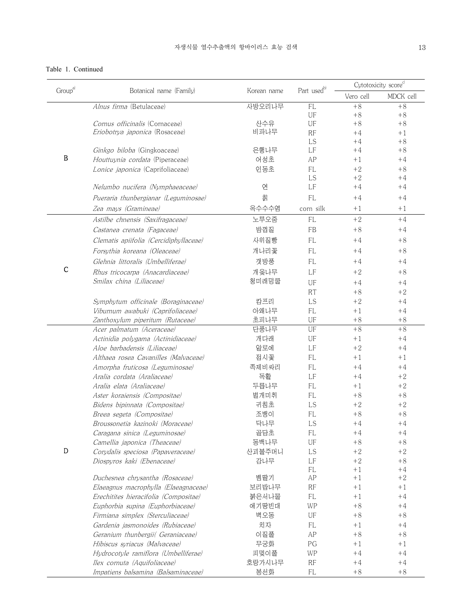# Table 1. Continued

| Group <sup>a)</sup>           | Botanical name (Family)                | Korean name | Part used <sup>b)</sup> | Cytotoxicity score <sup>c)</sup> |              |
|-------------------------------|----------------------------------------|-------------|-------------------------|----------------------------------|--------------|
|                               |                                        |             |                         | Vero cell                        | MDCK cell    |
|                               | Alnus firma (Betulaceae)               | 사방오리나무      | <b>FL</b>               | $+8$                             | $+8$         |
|                               |                                        |             | UF                      | $+8$                             | $+8$         |
|                               | Cornus officinalis (Cornaceae)         | 산수유         | UF                      | $+8$                             | $+8$         |
|                               | Eriobotrva japonica (Rosaceae)         | 비파나무        | RF                      | $+4$                             | $+1$         |
|                               |                                        |             | LS                      | $+4$                             | $+8$         |
|                               | Ginkgo biloba (Gingkoaceae)            | 은행나무        | LF                      | $+4$                             | $+8$         |
|                               | Houttuynia cordata (Piperaceae)        | 어성초         | AP                      | $+1$                             | $+4$         |
|                               | Lonice japonica (Caprifoliaceae)       | 인동초         | <b>FL</b><br>LS         | $+2$<br>$+2$                     | $+8$<br>$+4$ |
|                               | Nelumbo nucifera (Nymphaeaceae)        | 연           | LF                      | $+4$                             | $+4$         |
|                               | Pueraria thunbergianar (Leguminosae)   | 칡           | <b>FL</b>               | $+4$                             | $+4$         |
|                               |                                        |             |                         |                                  |              |
|                               | Zea mays (Gramineae)                   | 옥수수수염       | corn silk               | $+1$                             | $+1$         |
|                               | Astilbe chnensis (Saxifragaceae)       | 노루오줌        | <b>FL</b>               | $+2$                             | $+4$         |
|                               | Castanea crenata (Fagaceae)            | 밤껍질         | FB                      | $+8$                             | $+4$         |
|                               | Clematis apiifolia (Cercidiphyllaceae) | 사위질빵        | FL                      | $+4$                             | $+8$         |
|                               | Forsythia koreana (Oleaceae)           | 개나리꽃        | <b>FL</b>               | $+4$                             | $+8$         |
|                               | Glehnia littoralis (Umbelliferae)      | 갯방풍         | <b>FL</b>               | $+4$                             | $+4$         |
| $\mathsf{C}$                  | Rhus tricocarpa (Anacardiaceae)        | 개옺나무        | LF                      | $+2$                             | $+8$         |
|                               | Smilax china (Liliaceae)               | 청미래덩쿨       | UF                      | $+4$                             | $+4$         |
|                               |                                        |             | <b>RT</b>               | $+8$                             | $+2$         |
| $\, {\bf B}$<br>${\mathbb D}$ | Symphytum officinale (Boraginaceae)    | 캄프리         | LS                      | $+2$                             | $+4$         |
|                               | Viburnum awabuki (Caprifoliaceae)      | 아왜나무        | FL.                     | $+1$                             | $+4$         |
|                               | Zanthoxylum piperitum (Rutaceae)       | 초피나무        | UF                      | $+8$                             | $+8$         |
|                               | Acer palmatum (Aceraceae)              | 단풍나무        | UF                      | $+8$                             | $+8$         |
|                               | Actinidia polygama (Actinidiaceae)     | 개다래         | UF                      | $+1$                             | $+4$         |
|                               | Aloe barbadensis (Liliaceae)           | 알로에         | LF                      | $+2$                             | $+4$         |
|                               | Althaea rosea Cavanilles (Malvaceae)   | 접시꽃         | <b>FL</b>               | $+1$                             | $+1$         |
|                               | Amorpha fruticosa (Leguminosae)        | 족제비싸리       | FL                      | $+4$                             | $+4$         |
|                               | Aralia cordata (Araliaceae)            | 독활          | LF                      | $+4$                             | $+2$         |
|                               | Aralia elata (Araliaceae)              | 두릅나무        | FL                      | $+1$                             | $+2$         |
|                               | Aster koraiensis (Compositae)          | 벌개미취        | FL                      | $+8$                             | $+8$         |
|                               | Bidens bipinnata (Compositae)          | 귀침초         | LS                      | $+2$                             | $+2$         |
|                               | Breea segeta (Compositae)              | 조뱅이         | <b>FL</b>               | $+8$                             | $+8$         |
|                               | Broussonetia kazinoki (Moraceae)       | 닥나무         | LS                      | $+4$                             | $+4$         |
|                               | Caragana sinica (Leguminosae)          | 골담초         | <b>FL</b>               | $+4$                             | $+4$         |
|                               | Camellia japonica (Theaceae)           | 동백나무        | UF                      | $+8$                             | $+8$         |
|                               | Corydalis speciosa (Papaveraceae)      | 산괴불주머니      | LS                      | $+2$                             | $+2$         |
|                               | Diospyros kaki (Ebenaceae)             | 감나무         | LF                      | $+2$                             | $+8$         |
|                               |                                        |             | FL.                     | $+1$                             | $+4$         |
|                               | Duchesnea chrysantha (Rosaceae)        | 뱀딸기         | AP                      | $+1$                             | $+2$         |
|                               | Elaeagnus macrophylla (Elaeagnaceae)   | 보리밥나무       | RF                      | $+1$                             | $+1$         |
|                               | Erechitites hieracifolia (Compositae)  | 붉은서나물       | FL.                     | $+1$                             | $+4$         |
|                               | Euphorbia supina (Euphorbiaceae)       | 애기땅빈대       | WP                      | $+8$                             | $+4$         |
|                               | Firmiana simplex (Sterculiaceae)       | 벽오동         | UF                      | $+8$                             | $+8$         |
|                               | Gardenia jasmonoides (Rubiaceae)       | 치자          | FL.                     | $+1$                             | $+4$         |
|                               | Geranium thunbergii( Geraniaceae)      | 이질풀         | AP                      | $+8$                             | $+8$         |
|                               | Hibiscus syriacus (Malvaceae)          | 무궁화         | PG                      | $+1$                             | $+1$         |
|                               | Hydrocotyle ramiflora (Umbelliferae)   | 피멎이풀        | WP                      | $+4$                             | $+4$         |
|                               | Ilex cornuta (Aquifoliaceae)           | 호랑가시나무      | RF                      | $+4$                             | $+4$         |
|                               | Impatiens balsamina (Balsaminaceae)    | 봉선화         | FL                      | $+8$                             | $+8$         |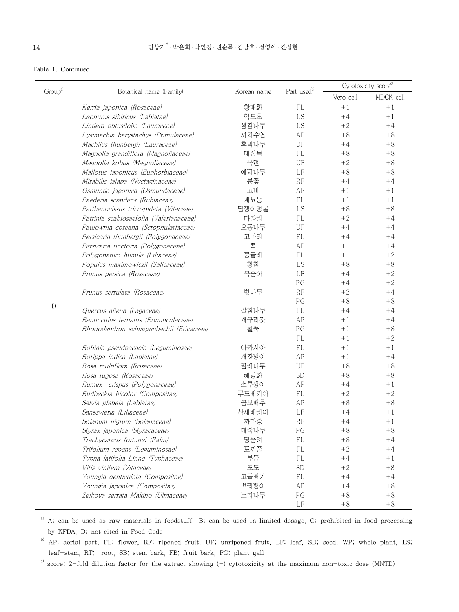# Table 1. Continued

| Group <sup>a)</sup> |                                          |             | Part usedb) |           | Cytotoxicity score <sup>c)</sup> |
|---------------------|------------------------------------------|-------------|-------------|-----------|----------------------------------|
|                     | Botanical name (Family)                  | Korean name |             | Vero cell | MDCK cell                        |
|                     | Kerria japonica (Rosaceae)               | 황매화         | <b>FL</b>   | $+1$      | $+1$                             |
|                     | Leonurus sibiricus (Labiatae)            | 익모초         | LS          | $+4$      | $+1$                             |
|                     | Lindera obtusiloba (Lauraceae)           | 생강나무        | LS          | $+2$      | $+4$                             |
|                     | Lysimachia barystachys (Primulaceae)     | 까치수염        | AP          | $+8$      | $+8$                             |
|                     | Machilus thunbergii (Lauraceae)          | 후박나무        | UF          | $+4$      | $+8$                             |
|                     | Magnolia grandiflora (Magnoliaceae)      | 태산목         | <b>FL</b>   | $+8$      | $+8$                             |
|                     | Magnolia kobus (Magnoliaceae)            | 목련          | UF          | $+2$      | $+8$                             |
|                     | Mallotus japonicus (Euphorbiaceae)       | 예덕나무        | LF          | $+8$      | $+8$                             |
|                     | Mirabilis jalapa (Nyctaginaceae)         | 분꽃          | RF          | $+4$      | $+4$                             |
|                     | Osmunda japonica (Osmundaceae)           | 고비          | AP          | $+1$      | $+1$                             |
|                     | Paederia scandens (Rubiaceae)            | 계뇨등         | FL          | $+1$      | $+1$                             |
|                     | Parthenocissus tricuspidata (Vitaceae)   | 담쟁이덩굴       | LS          | $+8$      | $+8$                             |
|                     | Patrinia scabiosaefolia (Valerianaceae)  | 마타리         | FL          | $+2$      | $+4$                             |
|                     | Paulownia coreana (Scrophulariaceae)     | 오동나무        | UF          | $+4$      | $+4$                             |
|                     | Persicaria thunbergii (Polygonaceae)     | 고마리         | <b>FL</b>   | $+4$      | $+4$                             |
|                     | Persicaria tinctoria (Polygonaceae)      | 쪽           | AP          | $+1$      | $+4$                             |
|                     | Polygonatum humile (Liliaceae)           | 둥글레         | FL          | $+1$      | $+2$                             |
|                     | Populus maximowiczii (Salicaceae)        | 황철          | LS          | $+8$      | $+8$                             |
|                     | Prunus persica (Rosaceae)                | 복숭아         | LF          | $+4$      | $+2$                             |
|                     |                                          |             | PG          | $+4$      | $+2$                             |
|                     | Prunus serrulata (Rosaceae)              | 벚나무         | RF          | $+2$      | $+4$                             |
| D                   |                                          |             | PG          | $+8$      | $+8$                             |
|                     | Quercus aliena (Fagaceae)                | 갈참나무        | FL          | $+4$      | $+4$                             |
|                     | Ranunculus ternatus (Ronunculaceae)      | 개구리갓        | AP          | $+1$      | $+4$                             |
|                     | Rhododendron schlippenbachii (Ericaceae) | 철쭉          | PG          | $+1$      | $+8$                             |
|                     |                                          |             | FL          | $+1$      | $+2$                             |
|                     | Robinia pseudoacacia (Leguminosae)       | 아카시아        | FL          | $+1$      | $+1$                             |
|                     | Rorippa indica (Labiatae)                | 개갓냉이        | AP          | $+1$      | $+4$                             |
|                     | Rosa multiflora (Rosaceae)               | 찔레나무        | UF          | $+8$      | $+8$                             |
|                     | Rosa rugosa (Rosaceae)                   | 해당화         | <b>SD</b>   | $+8$      | $+8$                             |
|                     | Rumex crispus (Polygonaceae)             | 소루쟁이        | AP          | $+4$      | $+1$                             |
|                     | Rudbeckia bicolor (Compositae)           | 루드베키아       | FL          | $+2$      | $+2$                             |
|                     | Salvia plebeia (Labiatae)                | 곰보배추        | AP          | $+8$      | $+8$                             |
|                     | Sansevieria (Liliaceae)                  | 산세베리아       | LF          | $+4$      | $+1$                             |
|                     | Solanum nigrum (Solanaceae)              | 까마중         | RF          | $+4$      | $+1$                             |
|                     | Styrax japonica (Styracaceae)            | 때죽나무        | PG          | $+8$      | $+8$                             |
|                     | Trachycarpus fortunei (Palm)             | 당종려         | FL          | $+8$      | $+4$                             |
|                     | Trifolium repens (Leguminosae)           | 토끼풀         | FL          | $+2$      | $+4$                             |
|                     | Typha latifolia Linne (Typhaceae)        | 부들          | FL          | $+4$      | $+1$                             |
|                     | Vitis vinifera (Vitaceae)                | 至王          | <b>SD</b>   | $+2$      | $+8$                             |
|                     | Youngia denticulata (Compositae)         | 고들빼기        | FL          | $+4$      | $+4$                             |
|                     | Youngia japonica (Compositae)            | 뽀리뱅이        | AP          | $+4$      | $+8$                             |
|                     | Zelkova serrata Makino (Ulmaceae)        | 느티나무        | PG          | $+8$      | $+8$                             |
|                     |                                          |             | LF          | $+8$      | $+8$                             |

a) A; can be used as raw materials in foodstuff B; can be used in limited dosage, C; prohibited in food processing by KFDA, D; not cited in Food Code

b) AP; aerial part, FL; flower, RF; ripened fruit, UF; unripened fruit, LF; leaf, SD; seed, WP; whole plant, LS; leaf+stem, RT; root, SB; stem bark, FB; fruit bark, PG; plant gall

 $c)$  score; 2-fold dilution factor for the extract showing (-) cytotoxicity at the maximum non-toxic dose (MNTD)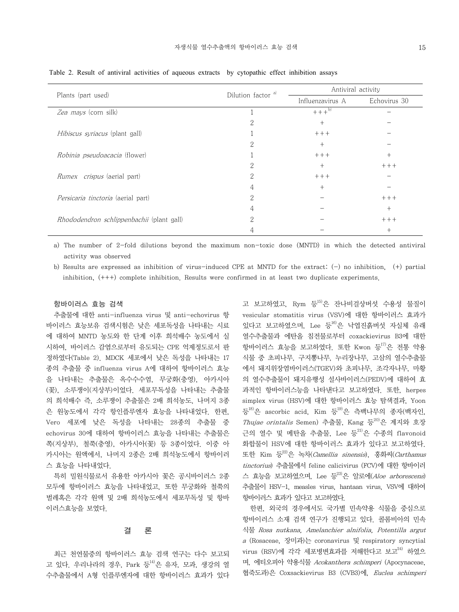|                                           | Dilution factor <sup>a)</sup> | Antiviral activity |              |  |  |
|-------------------------------------------|-------------------------------|--------------------|--------------|--|--|
| Plants (part used)                        |                               | Influenzavirus A   | Echovirus 30 |  |  |
| Zea mays (corn silk)                      |                               | $+++^{b)}$         |              |  |  |
|                                           | 2                             | $+$                |              |  |  |
| <i>Hibiscus syriacus</i> (plant gall)     |                               | $++ +$             |              |  |  |
|                                           | 2                             | $^{+}$             |              |  |  |
| <i>Robinia pseudoacacia</i> (flower)      |                               | $++ +$             | $+$          |  |  |
|                                           | 2                             | $+$                | $+++$        |  |  |
| Rumex crispus (aerial part)               | 2                             | $+++$              |              |  |  |
|                                           | 4                             | $+$                |              |  |  |
| <i>Persicaria tinctoria</i> (aerial part) | 2                             |                    | $+++$        |  |  |
|                                           | 4                             |                    | $^{+}$       |  |  |
| Rhododendron schlippenbachii (plant gall) | ∩                             |                    | $+++$        |  |  |
|                                           |                               |                    | $^+$         |  |  |

Table 2. Result of antiviral activities of aqueous extracts by cytopathic effect inhibition assays

a) The number of 2-fold dilutions beyond the maximum non-toxic dose (MNTD) in which the detected antiviral activity was observed

b) Results are expressed as inhibition of virus-induced CPE at MNTD for the extract: (-) no inhibition, (+) partial inhibition, (+++) complete inhibition. Results were confirmed in at least two duplicate experiments.

#### 항바이러스 효능 검색

추출물에 대한 anti-influenza virus 및 anti-echovirus 항 바이러스 효능보유 검색시험은 낮은 세포독성을 나타내는 시료 에 대하여 MNTD 농도와 한 단계 이후 희석배수 농도에서 실 시하여, 바이러스 감염으로부터 유도되는 CPE 억제정도로서 판 정하였다(Table 2). MDCK 세포에서 낮은 독성을 나타내는 17 종의 추출물 중 influenza virus A에 대하여 항바이러스 효능 을 나타내는 추출물은 옥수수수염, 무궁화(충영), 아카시아 (꽃), 소루쟁이(지상부)이었다. 세포무독성을 나타내는 추출물 의 희석배수 즉, 소루쟁이 추출물은 2배 희석농도, 나머지 3종 은 원농도에서 각각 항인플루엔자 효능을 나타내었다. 한편, Vero 세포에 낮은 독성을 나타내는 28종의 추출물 중 echovirus 30에 대하여 항바이러스 효능을 나타내는 추출물은 쪽(지상부), 철쭉(충영), 아카시아(꽃) 등 3종이었다. 이중 아 카시아는 원액에서, 나머지 2종은 2배 희석농도에서 항바이러 스 효능을 나타내었다.

특히 밀원식물로서 유용한 아카시아 꽃은 공시바이러스 2종 모두에 항바이러스 효능을 나타내었고, 또한 무궁화와 철쭉의 벌레혹은 각각 원액 및 2배 희석농도에서 세포무독성 및 항바 이러스효능을 보였다.

#### 결 론

최근 천연물중의 항바이러스 효능 검색 연구는 다수 보고되 고 있다. 우리나라의 경우, Park 등 $^{14}$ 은 유자, 모과, 생강의 열 수추출물에서 A형 인플루엔자에 대한 항바이러스 효과가 있다 고 보고하였고, Rym 등<sup>15)</sup>은 잔나비걸상버섯 수용성 물질이 vesicular stomatitis virus (VSV)에 대한 항바이러스 효과가 있다고 보고하였으며, Lee 등 <sup>16)</sup>은 낙엽진흙버섯 자실체 유래 열수추출물과 에탄올 침전물로부터 coxackievirus B3에 대한 항바이러스 효능을 보고하였다. 또한 Kwon 등17)은 전통 약용 식물 중 초피나무, 구지뽕나무, 누리장나무, 고삼의 열수추출물 에서 돼지위장염바이러스(TGEV)와 초피나무, 조각자나무, 마황 의 열수추출물이 돼지유행성 설사바이러스(PEDV)에 대하여 효 과적인 항바이러스능을 나타낸다고 보고하였다. 또한, herpes simplex virus (HSV)에 대한 항바이러스 효능 탐색결과, Yoon 등 $\frac{18}{6}$ 은 ascorbic acid, Kim 등 $\frac{19}{6}$ 은 측백나무의 종자(백자인, Thujae orintalis Semen) 추출물, Kang 등20)은 계지와 호장 근의 열수 및 메탄올 추출물, Lee 등<sup>21)</sup>은 수종의 flavonoid 화합물이 HSV에 대한 항바이러스 효과가 있다고 보고하였다. 또한 Kim 등22)은 녹차(Camellia sinensis), 홍화씨(Carthamus tinctorius) 추출물에서 feline calicivirus (FCV)에 대한 항바이러 스 효능을 보고하였으며, Lee 등 일로에(Aloe arborescens) 추출물이 HSV-1, measles virus, hantaan virus, VSV에 대하여 항바이러스 효과가 있다고 보고하였다.

한편, 외국의 경우에서도 국가별 민속약용 식물을 중심으로 항바이러스 소재 검색 연구가 진행되고 있다. 콜롬비아의 민속 식물 Rosa nutkana, Amelanchier alnifolia, Potentilla argut <sup>a</sup>(Rosaceae, 장미과)는 coronavirus 및 respiratory syncytial virus (RSV)에 각각 세포병변효과를 저해한다고 보고 $^{24)}$  하였으 며, 에티오피아 약용식물 Acokanthera schimperi (Apocynaceae, 협죽도과)은 Coxsackievirus B3 (CVB3)에, *Euclea schimperi*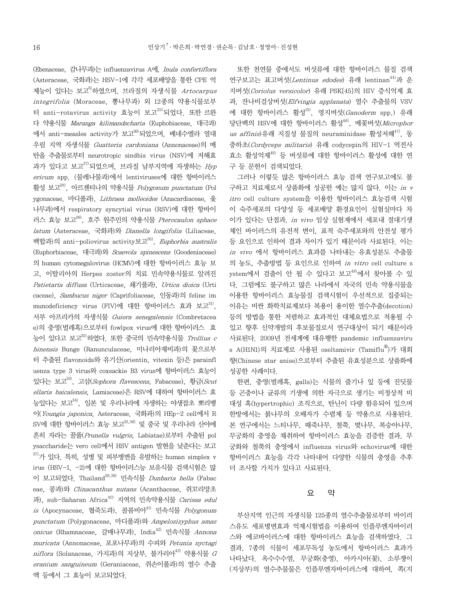(Ebenaceae, 감나무과)는 influenzavirus A에, Inula confertiflora (Asteraceae, 국화과)는 HSV-1에 각각 세포배양을 통한 CPE 억 제능이 있다는 보고<sup>6)</sup>하였으며, 브라질의 자생식물 Artocarpus integrifolia (Moraceae, 뽕나무과) 외 12종의 약용식물로부 터 anti-rotavirus activity 효능이 보고25)되었다. 또한 르완 다 약용식물 Maranga kilimandscharia (Euphobiaceae, 대극과) 에서 anti-measles activity가 보고<sup>26)</sup>되었으며, 베네수엘라 열대 우림 지역 자생식물 Guatteria cardoniana (Annonaceae)의 메 탄올 추출물로부터 neurotropic sindbis virus (NSV)에 저해효 과가 있다고 보고 $^{27)}$ 되었으며, 브라질 남부지역에 자생하는 Hyp ericum spp. (물레나물과)에서 lentiviruses에 대한 항바이러스 활성 보고28), 아르젠티나의 약용식물 Polygonum punctatum (Pol ygonaceae, 마디풀과), Lithraea molleoides (Anacardiaceae, 옻 나무과)에서 respiratory syncytial virus (RSV)에 대한 항바이 러스 효능 보고29), 호주 원주민의 약용식물 Pterocaulon sphace latum (Asteraceae, 국화과)와 Dianella longifolia (Liliaceae, 백합과)의 anti-poliovirus activity보고<sup>30)</sup>, Euphorbia australis (Euphorbiaceae, 대극과)와 Scaevola spinescens (Goodeniaceae) 의 human cytomegalovirus (HCMV)에 대한 항바이러스 효능 보 고, 이탈리아의 Herpes zoster의 치료 민속약용식물로 알려진 Patietaria diffusa (Urticaceae, 쇄기풀과), Urtica dioica (Urti caceae), Sambucus niger (Caprifoliaceae, 인동과)의 feline im munodeficiency virus (FIV)에 대한 항바이러스 효과 보고<sup>31)</sup>, 서부 아프리카의 자생식물 Guiera senegalensis (Combretacea e)의 충영(벌레혹)으로부터 fowlpox virus에 대한 항바이러스 효 능이 있다고 보고 $^{32}$ 하였다. 또한 중국의 민속약용식물 Trollius c hinensis Bunge (Ranunculaceae, 미나리아재비과)의 꽃으로부 터 추출된 flavonoids와 유기산(orientin, vitexin 등)은 parainfl uenza type 3 virus와 coxsackie B3 virus에 항바이러스 효능이 있다는 보고<sup>33)</sup>, 고삼(Sophora flavescens, Fabaceae), 황금(Scut ellaria baicalensis, Lamiaceae)은 RSV에 대하여 항바이러스 효 능있다는 보고34), 일본 및 우리나라에 자생하는 야생잡초 뽀리뱅 이(Youngia japonica, Asteraceae, 국화과)의 HEp-2 cell에서 R SV에 대한 항바이러스 효능 보고 $^{35,36)}$  및 중국 및 우리나라 산야에 흔히 자라는 꿀풀(Prunella vulgris, Labiatae)로부터 추출된 pol ysaccharide는 vero cell에서 HSV antigen 발현을 낮춘다는 보고  $37$ )가 있다. 특히, 성병 및 피부병변을 유발하는 human simplex v irus (HSV-1, -2)에 대한 항바이러스능 보유식물 검색시험은 많 이 보고되었다. Thailand<sup>38,39)</sup> 민속식물 *Dunbaria bella* (Fabac eae, 콩과)와 Clinacanthus nutans (Acanthaceae, 쥐꼬리망초 과), sub-Saharan Africa<sup>40)</sup> 지역의 민속약용식물 Carissa edul is (Apocynaceae, 협죽도과), 콜롬비아41) 민속식물 Polygonum punctatum (Polygonaceae, 마디풀과)와 Ampelozizyphus amaz onicus (Rhamnaceae, 갈매나무과), India<sup>42)</sup> 민속식물 Annona muricata (Annonaceae, 포포나무과)의 수피와 Petunia nyctagi  $niflora$  (Solanaceae, 가지과)의 지상부, 불가리아 $43$ ) 약용식물  $G$ eranium sanguineum (Geraniaceae, 쥐손이풀과)의 열수 추출 액 등에서 그 효능이 보고되었다.

또한 천연물 중에서도 버섯류에 대한 항바이러스 물질 검색 연구보고는 표고버섯(Lentinus edodes) 유래 lentinan<sup>44)</sup>과 운 지버섯(Coriolus versicolor) 유래 PSK[45]의 HIV 증식억제 효 과, 잔나비걸상버섯(Elfvingia applanata) 열수 추출물의 VSV 에 대한 항바이러스 활성 $^{15}$ . 영지버섯(Ganoderm spp.) 유래 당단백의 HSV에 대한 항바이러스 활성 $^{46}$ , 메꽃버섯(Microphor us affinis)유래 지질성 물질의 neuraminidase 활성저해<sup>47)</sup>, 동 충하초(Cordyceps militaris) 유래 codycepin의 HIV-1 역전사 효소 활성억제48) 등 버섯류에 대한 항바이러스 활성에 대한 연 구 등 문헌이 검색되었다.

그러나 이렇듯 많은 항바이러스 효능 검색 연구보고에도 불 구하고 치료제로서 상품화에 성공한 예는 많지 않다. 이는 in v itro cell culture system을 이용한 항바이러스 효능검색 시험 이 숙주세포의 다양성 등 세포배양 환경요인이 실험실마다 차 이가 있다는 단점과, in vivo 임상 실험계에서 세포내 절대기생 체인 바이러스의 유전적 변이, 표적 숙주세포와의 안전성 평가 등 요인으로 인하여 결과 차이가 있기 때문이라 사료된다. 이는 in vivo 에서 항바이러스 효과를 나타내는 유효성분도 추출물 의 농도, 추출방법 등 요인으로 인하여 in vitro cell culture s ystem에서 검출이 안 될 수 있다고 보고<sup>49)</sup>에서 찾아볼 수 있 다. 그럼에도 불구하고 많은 나라에서 자국의 민속 약용식물을 이용한 항바이러스 효능물질 검색시험이 우선적으로 집중되는 이유는 비싼 화학치료제보다 복용이 용이한 열수추출(decotion) 등의 방법을 통한 저렴하고 효과적인 대체요법으로 적용될 수 있고 향후 신약개발의 후보물질로서 연구대상이 되기 때문이라 사료된다. 2009년 전세계에 대유행한 pandemic influenzaviru s A(H1N1)의 치료제로 사용된 oseltamivir (Tamiflu® )가 대회 향(Chinese star anise)으로부터 추출된 유효성분으로 상품화에 성공한 사례이다.

한편, 충영(벌레혹, galls)는 식물의 줄기나 잎 등에 진딧물 등 곤충이나 균류의 기생에 의한 자극으로 생기는 비정상적 비 대성 혹(hypertrophic) 조직으로, 탄닌이 다량 함유되어 있으며 한방에서는 붉나무의 오배자가 수렴제 등 약용으로 사용된다. 본 연구에서는 느티나무, 때죽나무, 철쭉, 벚나무, 복숭아나무, 무궁화의 충영을 채취하여 항바이러스 효능을 검증한 결과, 무 궁화와 철쭉의 충영에서 influenza virus와 echovirus에 대한 항바이러스 효능을 각각 나타내어 다양한 식물의 충영을 추후 더 조사할 가치가 있다고 사료된다.

#### 요 약

부산지역 인근의 자생식물 125종의 열수추출물로부터 바이러 스유도 세포병변효과 억제시험법을 이용하여 인플루엔자바이러 스와 에코바이러스에 대한 항바이러스 효능을 검색하였다. 그 결과, 7종의 식물이 세포무독성 농도에서 항바이러스 효과가 나타났다. 옥수수수염, 무궁화(충영), 아카시아(꽃), 소루쟁이 (지상부)의 열수추물물은 인플루엔자바이러스에 대하여, 쪽(지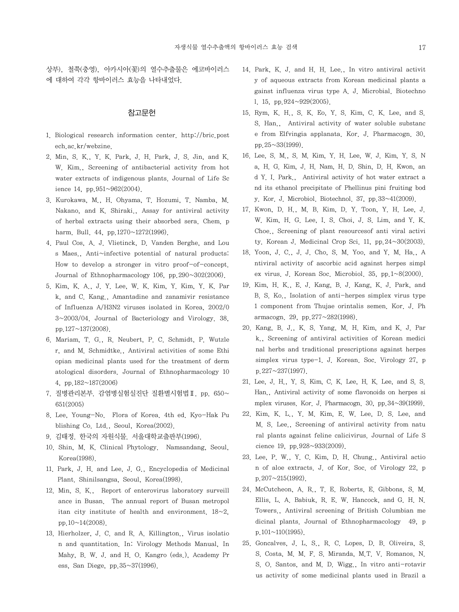상부), 철쭉(충영), 아카시아(꽃)의 열수추출물은 에코바이러스 에 대하여 각각 항바이러스 효능을 나타내었다.

# 참고문헌

- 1. Biological research information center. http://bric.post ech.ac.kr/webzine.
- 2. Min, S. K., Y. K. Park, J. H. Park, J. S. Jin, and K. W. Kim., Screening of antibacterial activity from hot water extracts of indigenous plants. Journal of Life Sc ience 14, pp.951~962(2004).
- 3. Kurokawa, M., H. Ohyama, T. Hozumi, T. Namba, M. Nakano, and K. Shiraki., Assay for antiviral activity of herbal extracts using their absorbed sera. Chem. p harm. Bull. 44, pp.1270~1272(1996).
- 4. Paul Cos, A. J. Vlietinck, D. Vanden Berghe, and Lou s Maes., Anti~infective potential of natural products: How to develop a stronger in vitro proof-of-concept. Journal of Ethnopharmacology 106, pp.  $290 \sim 302(2006)$ .
- 5. Kim, K. A., J. Y. Lee, W. K. Kim, Y. Kim, Y. K. Par k, and C. Kang., Amantadine and zanamivir resistance of Influenza A/H3N2 viruses isolated in Korea, 2002/0 3~2003/04. Journal of Bacteriology and Virology. 38, pp.127~137(2008).
- 6. Mariam, T. G., R. Neubert, P. C. Schmidt, P. Wutzle r, and M. Schmidtke., Antiviral activities of some Ethi opian medicinal plants used for the treatment of derm atological disorders. Journal of Ethnopharmacology 10 4, pp.182~187(2006)
- 7. 질병관리본부. 감염병실험실진단 질환별시험법Ⅱ. pp. 650~ 651(2005)
- 8. Lee, Young-No. Flora of Korea. 4th ed. Kyo-Hak Pu blishing Co. Ltd., Seoul, Korea(2002).
- 9. 김태정. 한국의 자원식물. 서울대학교출판부(1996).
- 10. Shin, M. K. Clinical Phytology. Namsandang, Seoul, Korea(1998).
- 11. Park, J. H. and Lee, J. G., Encyclopedia of Medicinal Plant. Shinilsangsa, Seoul, Korea(1998).
- 12. Min, S. K., Report of enterovirus laboratory surveill ance in Busan. The annual report of Busan metropol itan city institute of health and environment.  $18~2$ . pp. $10~14(2008)$ .
- 13. Hierholzer, J. C. and R. A. Killington., Virus isolatio n and quantitation. In: Virology Methods Manual, In Mahy, B. W. J. and H. O. Kangro (eds.), Academy Pr ess, San Diege, pp.35~37(1996).
- 14. Park, K. J. and H. H. Lee., In vitro antiviral activit y of aqueous extracts from Korean medicinal plants a gainst influenza virus type A. J. Microbial. Biotechno l. 15, pp.924~929(2005).
- 15. Rym, K. H., S. K. Eo, Y. S. Kim, C. K. Lee, and S. S. Han., Antiviral activity of water soluble substanc e from Elfvingia applanata. Kor. J. Pharmacogn. 30, pp.  $25 \sim 33(1999)$ .
- 16. Lee, S. M., S. M. Kim, Y. H. Lee, W. J. Kim, Y. S. N a, H. G. Kim, J. H. Nam, H. D. Shin, D. H. Kwon, an d Y. I. Park., Antiviral activity of hot water extract a nd its ethanol precipitate of Phellinus pini fruiting bod y. Kor. J. Microbiol. Biotechnol. 37, pp.33~41(2009).
- 17. Kwon, D. H., M. B. Kim, D. Y. Toon, Y. H. Lee, J. W. Kim, H. G. Lee, I. S. Choi, J. S. Lim, and Y. K. Choe., Screening of plant resourcesof anti viral activi ty. Korean J. Medicinal Crop Sci. 11, pp.  $24 \sim 30(2003)$ .
- 18. Yoon, J. C., J. J. Cho, S. M. Yoo, and Y. M. Ha., A ntiviral activity of ascorbic acid against herpes simpl ex virus. J. Korean Soc. Microbiol. 35, pp.1~8(2000).
- 19. Kim, H. K., E. J. Kang, B. J. Kang, K. J. Park, and B. S. Ko., Isolation of anti-herpes simplex virus type 1 component from Thujae orintalis semen. Kor. J. Ph armacogn. 29, pp.277~282(1998).
- 20. Kang, B. J., K. S. Yang, M. H. Kim, and K. J. Par k., Screening of antiviral activities of Korean medici nal herbs and traditional prescriptions against herpes simplex virus type-1. J. Korean. Soc. Virology 27, p  $p.227 \sim 237(1997)$ .
- 21. Lee, J. H., Y. S. Kim, C. K. Lee, H. K. Lee, and S. S. Han., Antiviral activity of some flavonoids on herpes si mplex viruses. Kor. J. Pharmacogn. 30, pp. $34 \sim 39(1999)$ .
- 22. Kim, K. L., Y. M. Kim, E. W. Lee, D. S. Lee, and M. S. Lee., Screening of antiviral activity from natu ral plants against feline calicivirus. Journal of Life S cience 19, pp.928~933(2009).
- 23. Lee, P. W., Y. C. Kim, D. H. Chung., Antiviral actio n of aloe extracts. J. of Kor. Soc. of Virology 22, p p.207~215(1992).
- 24. McCutcheon, A. R., T. E. Roberts, E. Gibbons, S. M. Ellis, L. A. Babiuk, R. E. W. Hancock, and G. H. N. Towers., Antiviral screening of British Columbian me dicinal plants. Journal of Ethnopharmacology 49, p p.101~110(1995).
- 25. Goncalves, J. L. S., R. C. Lopes, D. B. Oliveira, S. S. Costa, M. M. F. S. Miranda, M.T. V. Romanos, N. S. O. Santos, and M. D. Wigg., In vitro anti-rotavir us activity of some medicinal plants used in Brazil a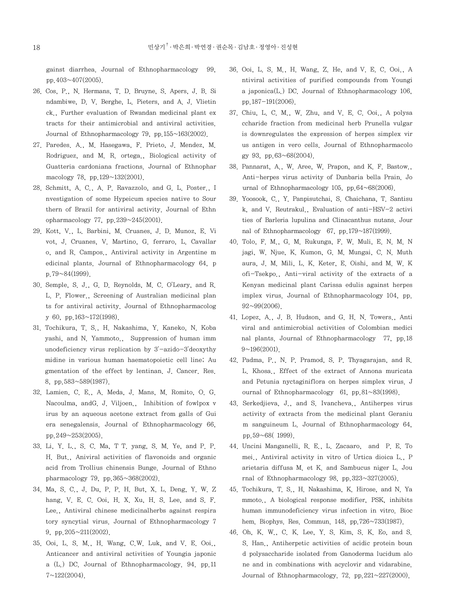gainst diarrhea. Journal of Ethnopharmacology 99, pp.403~407(2005).

- 26. Cos, P., N. Hermans, T. D. Bruyne, S. Apers, J. B. Si ndambiwe, D. V. Berghe, L. Pieters, and A. J. Vlietin ck., Further evaluation of Rwandan medicinal plant ex tracts for their antimicrobial and antiviral activities. Journal of Ethnopharmacology 79, pp.155~163(2002).
- 27. Paredes. A., M. Hasegawa, F. Prieto, J. Mendez, M. Rodriguez, and M. R. ortega., Biological activity of Guatteria cardoniana fractions. Journal of Ethnophar macology 78, pp.129~132(2001).
- 28. Schmitt, A. C., A. P. Ravazzolo, and G. L. Poster., I nvestigation of some Hypeicum species native to Sour thern of Brazil for antiviral activity. Journal of Ethn opharmacology 77, pp.239~245(2001).
- 29. Kott, V., L. Barbini, M. Cruanes, J. D. Munoz, E. Vi vot, J. Cruanes, V. Martino, G. ferraro, L. Cavallar o, and R. Campos., Antiviral activity in Argentine m edicinal plants. Journal of Ethnopharmacology 64, p p.79~84(1999).
- 30. Semple, S. J., G. D. Reynolds, M. C. O'Leary, and R. L. P. Flower., Screening of Australian medicinal plan ts for antiviral activity. Journal of Ethnopharmacolog y 60, pp.163~172(1998).
- 31. Tochikura, T. S., H. Nakashima, Y. Kaneko, N. Koba yashi, and N. Yammoto., Suppression of human imm unodeficiency virus replication by 3'-azido-3'deoxythy midine in various human haematopoietic cell line; Au gmentation of the effect by lentinan. J. Cancer. Res. 8, pp.583~589(1987).
- 32. Lamien, C. E., A. Meda, J. Mans, M. Romito, O. G. Nacoulma, andG. J. Viljoen., Inhibition of fowlpox v irus by an aqueous acetone extract from galls of Gui era senegalensis. Journal of Ethnopharmacology 66, pp.  $249 \sim 253(2005)$ .
- 33. Li, Y. L., S. C. Ma, T T. yang, S. M. Ye, and P. P. H. But., Aniviral activities of flavonoids and organic acid from Trollius chinensis Bunge. Journal of Ethno pharmacology 79, pp.365~368(2002).
- 34. Ma, S. C., J. Du, P. P. H. But, X. L. Deng, Y. W. Z hang, V. E. C. Ooi, H. X. Xu, H. S. Lee, and S. F. Lee., Antiviral chinese medicinalherbs against respira tory syncytial virus. Journal of Ethnopharmacology 7 9, pp.205~211(2002).
- 35. Ooi, L. S. M., H. Wang, C.W. Luk, and V. E. Ooi., Anticancer and antiviral activities of Youngia japonic a (L.) DC. Journal of Ethnopharmacology. 94. pp.11  $7 \sim 122(2004)$ .
- 36. Ooi, L. S. M., H. Wang, Z. He, and V. E. C. Ooi., A ntiviral activities of purified compounds from Youngi a japonica(L.) DC. Journal of Ethnopharmacology 106, pp.187-191(2006).
- 37. Chiu, L. C. M., W. Zhu, and V. E. C. Ooi., A polysa ccharide fraction from medicinal herb Prunella vulgar is downregulates the expression of herpes simplex vir us antigen in vero cells. Journal of Ethnopharmacolo gy 93, pp.63~68(2004).
- 38. Pannarat, A., W. Aree, W. Prapon, and K. F. Bastow., Anti-herpes virus activity of Dunbaria bella Prain. Jo urnal of Ethnopharmacology 105, pp. $64~68(2006)$ .
- 39. Yoosook, C., Y. Panpisutchai, S. Chaichana, T. Santisu k, and V. Reutrakul., Evaluation of anti-HSV-2 activi ties of Barleria lupulina and Clinacanthus nutans. Jour nal of Ethnopharmacology 67, pp.179~187(1999).
- 40. Tolo, F. M., G. M. Rukunga, F. W. Muli, E. N. M. N jagi, W. Njue, K. Kumon, G. M. Mungai, C. N. Muth aura, J. M. Mili, L. K. Keter, E. Oishi, and M. W. K ofi-Tsekpo., Anti-viral activity of the extracts of a Kenyan medicinal plant Carissa edulis against herpes implex virus. Journal of Ethnopharmacology 104, pp.  $92\sim 99(2006)$
- 41. Lopez, A., J. B. Hudson, and G. H. N. Towers., Anti viral and antimicrobial activities of Colombian medici nal plants. Journal of Ethnopharmacology 77, pp.18  $9~196(2001)$ .
- 42. Padma, P., N. P. Pramod, S. P. Thyagarajan, and R. L. Khosa., Effect of the extract of Annona muricata and Petunia nyctaginiflora on herpes simplex virus. J ournal of Ethnopharmacology 61, pp.81~83(1998).
- 43. Serkedjieva, J., and S. Ivancheva., Antiherpes virus activity of extracts from the medicinal plant Geraniu m sanguineum L. Journal of Ethnopharmacology 64, pp.59~68( 1999).
- 44. Uncini Manganelli, R. E., L. Zacaaro, and P. E. To mei., Antiviral activity in vitro of Urtica dioica L., P arietaria diffusa M. et K. and Sambucus niger L. Jou rnal of Ethnopharmacology 98, pp. $323 \sim 327(2005)$ .
- 45. Tochikura, T. S., H. Nakashima, K. Hirose, and N. Ya mmoto., A biological response modifier, PSK, inhibits human immunodeficiency virus infection in vitro. Bioc hem. Biophys. Res. Commun. 148, pp.726~733(1987).
- 46. Oh, K. W., C. K. Lee, Y. S. Kim, S. K. Eo, and S. S. Han., Antiherpetic activities of acidic protein boun d polysaccharide isolated from Ganoderma lucidum alo ne and in combinations with acyclovir and vidarabine. Journal of Ethnopharmacology.  $72$  pp.  $221 \sim 227(2000)$ .